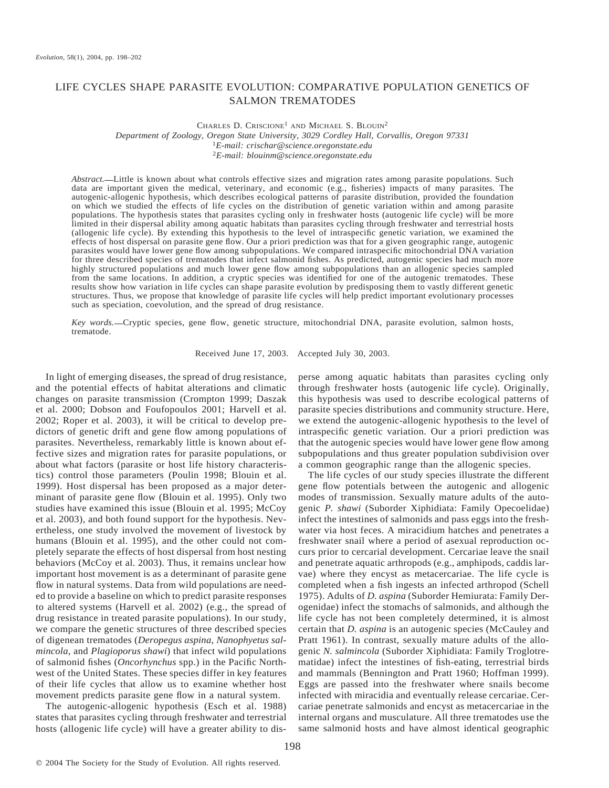# LIFE CYCLES SHAPE PARASITE EVOLUTION: COMPARATIVE POPULATION GENETICS OF SALMON TREMATODES

CHARLES D. CRISCIONE<sup>1</sup> AND MICHAEL S. BLOUIN<sup>2</sup> *Department of Zoology, Oregon State University, 3029 Cordley Hall, Corvallis, Oregon 97331* <sup>1</sup>*E-mail: crischar@science.oregonstate.edu* <sup>2</sup>*E-mail: blouinm@science.oregonstate.edu*

*Abstract.* Little is known about what controls effective sizes and migration rates among parasite populations. Such data are important given the medical, veterinary, and economic (e.g., fisheries) impacts of many parasites. The autogenic-allogenic hypothesis, which describes ecological patterns of parasite distribution, provided the foundation on which we studied the effects of life cycles on the distribution of genetic variation within and among parasite populations. The hypothesis states that parasites cycling only in freshwater hosts (autogenic life cycle) will be more limited in their dispersal ability among aquatic habitats than parasites cycling through freshwater and terrestrial hosts (allogenic life cycle). By extending this hypothesis to the level of intraspecific genetic variation, we examined the effects of host dispersal on parasite gene flow. Our a priori prediction was that for a given geographic range, autogenic parasites would have lower gene flow among subpopulations. We compared intraspecific mitochondrial DNA variation for three described species of trematodes that infect salmonid fishes. As predicted, autogenic species had much more highly structured populations and much lower gene flow among subpopulations than an allogenic species sampled from the same locations. In addition, a cryptic species was identified for one of the autogenic trematodes. These results show how variation in life cycles can shape parasite evolution by predisposing them to vastly different genetic structures. Thus, we propose that knowledge of parasite life cycles will help predict important evolutionary processes such as speciation, coevolution, and the spread of drug resistance.

*Key words.* Cryptic species, gene flow, genetic structure, mitochondrial DNA, parasite evolution, salmon hosts, trematode.

Received June 17, 2003. Accepted July 30, 2003.

In light of emerging diseases, the spread of drug resistance, and the potential effects of habitat alterations and climatic changes on parasite transmission (Crompton 1999; Daszak et al. 2000; Dobson and Foufopoulos 2001; Harvell et al. 2002; Roper et al. 2003), it will be critical to develop predictors of genetic drift and gene flow among populations of parasites. Nevertheless, remarkably little is known about effective sizes and migration rates for parasite populations, or about what factors (parasite or host life history characteristics) control those parameters (Poulin 1998; Blouin et al. 1999). Host dispersal has been proposed as a major determinant of parasite gene flow (Blouin et al. 1995). Only two studies have examined this issue (Blouin et al. 1995; McCoy et al. 2003), and both found support for the hypothesis. Nevertheless, one study involved the movement of livestock by humans (Blouin et al. 1995), and the other could not completely separate the effects of host dispersal from host nesting behaviors (McCoy et al. 2003). Thus, it remains unclear how important host movement is as a determinant of parasite gene flow in natural systems. Data from wild populations are needed to provide a baseline on which to predict parasite responses to altered systems (Harvell et al. 2002) (e.g., the spread of drug resistance in treated parasite populations). In our study, we compare the genetic structures of three described species of digenean trematodes (*Deropegus aspina*, *Nanophyetus salmincola*, and *Plagioporus shawi*) that infect wild populations of salmonid fishes (*Oncorhynchus* spp.) in the Pacific Northwest of the United States. These species differ in key features of their life cycles that allow us to examine whether host movement predicts parasite gene flow in a natural system.

The autogenic-allogenic hypothesis (Esch et al. 1988) states that parasites cycling through freshwater and terrestrial hosts (allogenic life cycle) will have a greater ability to disperse among aquatic habitats than parasites cycling only through freshwater hosts (autogenic life cycle). Originally, this hypothesis was used to describe ecological patterns of parasite species distributions and community structure. Here, we extend the autogenic-allogenic hypothesis to the level of intraspecific genetic variation. Our a priori prediction was that the autogenic species would have lower gene flow among subpopulations and thus greater population subdivision over a common geographic range than the allogenic species.

The life cycles of our study species illustrate the different gene flow potentials between the autogenic and allogenic modes of transmission. Sexually mature adults of the autogenic *P. shawi* (Suborder Xiphidiata: Family Opecoelidae) infect the intestines of salmonids and pass eggs into the freshwater via host feces. A miracidium hatches and penetrates a freshwater snail where a period of asexual reproduction occurs prior to cercarial development. Cercariae leave the snail and penetrate aquatic arthropods (e.g., amphipods, caddis larvae) where they encyst as metacercariae. The life cycle is completed when a fish ingests an infected arthropod (Schell 1975). Adults of *D. aspina* (Suborder Hemiurata: Family Derogenidae) infect the stomachs of salmonids, and although the life cycle has not been completely determined, it is almost certain that *D. aspina* is an autogenic species (McCauley and Pratt 1961). In contrast, sexually mature adults of the allogenic *N. salmincola* (Suborder Xiphidiata: Family Troglotrematidae) infect the intestines of fish-eating, terrestrial birds and mammals (Bennington and Pratt 1960; Hoffman 1999). Eggs are passed into the freshwater where snails become infected with miracidia and eventually release cercariae. Cercariae penetrate salmonids and encyst as metacercariae in the internal organs and musculature. All three trematodes use the same salmonid hosts and have almost identical geographic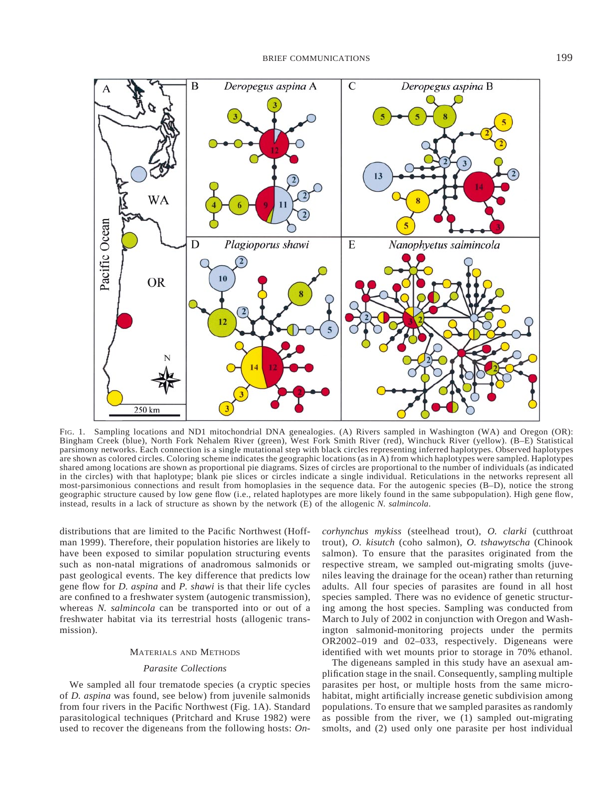

FIG. 1. Sampling locations and ND1 mitochondrial DNA genealogies. (A) Rivers sampled in Washington (WA) and Oregon (OR): Bingham Creek (blue), North Fork Nehalem River (green), West Fork Smith River (red), Winchuck River (yellow). (B–E) Statistical parsimony networks. Each connection is a single mutational step with black circles representing inferred haplotypes. Observed haplotypes are shown as colored circles. Coloring scheme indicates the geographic locations (as in A) from which haplotypes were sampled. Haplotypes shared among locations are shown as proportional pie diagrams. Sizes of circles are proportional to the number of individuals (as indicated in the circles) with that haplotype; blank pie slices or circles indicate a single individual. Reticulations in the networks represent all most-parsimonious connections and result from homoplasies in the sequence data. For the autogenic species (B–D), notice the strong geographic structure caused by low gene flow (i.e., related haplotypes are more likely found in the same subpopulation). High gene flow, instead, results in a lack of structure as shown by the network (E) of the allogenic *N. salmincola*.

distributions that are limited to the Pacific Northwest (Hoffman 1999). Therefore, their population histories are likely to have been exposed to similar population structuring events such as non-natal migrations of anadromous salmonids or past geological events. The key difference that predicts low gene flow for *D. aspina* and *P. shawi* is that their life cycles are confined to a freshwater system (autogenic transmission), whereas *N. salmincola* can be transported into or out of a freshwater habitat via its terrestrial hosts (allogenic transmission).

### MATERIALS AND METHODS

## *Parasite Collections*

We sampled all four trematode species (a cryptic species of *D. aspina* was found, see below) from juvenile salmonids from four rivers in the Pacific Northwest (Fig. 1A). Standard parasitological techniques (Pritchard and Kruse 1982) were used to recover the digeneans from the following hosts: *On-* *corhynchus mykiss* (steelhead trout), *O. clarki* (cutthroat trout), *O. kisutch* (coho salmon), *O. tshawytscha* (Chinook salmon). To ensure that the parasites originated from the respective stream, we sampled out-migrating smolts (juveniles leaving the drainage for the ocean) rather than returning adults. All four species of parasites are found in all host species sampled. There was no evidence of genetic structuring among the host species. Sampling was conducted from March to July of 2002 in conjunction with Oregon and Washington salmonid-monitoring projects under the permits OR2002–019 and 02–033, respectively. Digeneans were identified with wet mounts prior to storage in 70% ethanol.

The digeneans sampled in this study have an asexual amplification stage in the snail. Consequently, sampling multiple parasites per host, or multiple hosts from the same microhabitat, might artificially increase genetic subdivision among populations. To ensure that we sampled parasites as randomly as possible from the river, we (1) sampled out-migrating smolts, and (2) used only one parasite per host individual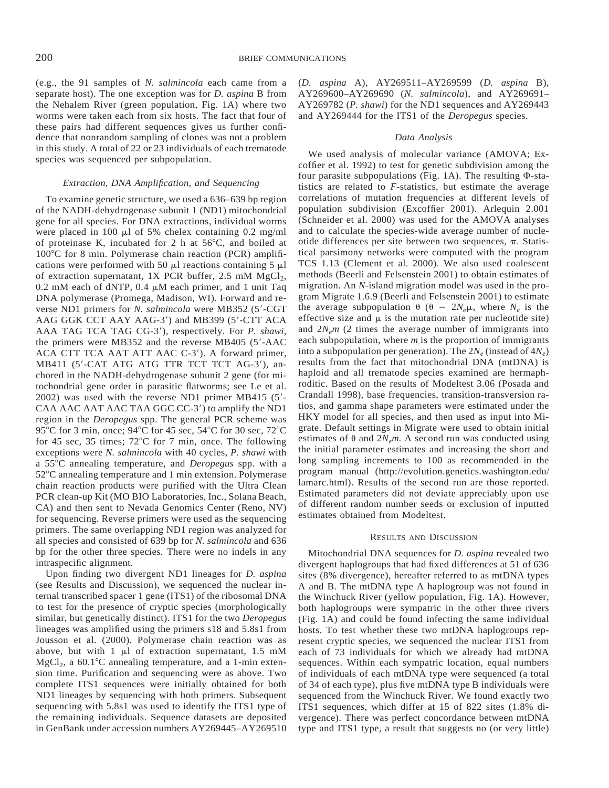(e.g., the 91 samples of *N. salmincola* each came from a separate host). The one exception was for *D. aspina* B from the Nehalem River (green population, Fig. 1A) where two worms were taken each from six hosts. The fact that four of these pairs had different sequences gives us further confidence that nonrandom sampling of clones was not a problem in this study. A total of 22 or 23 individuals of each trematode species was sequenced per subpopulation.

#### *Extraction, DNA Amplification, and Sequencing*

To examine genetic structure, we used a 636–639 bp region of the NADH-dehydrogenase subunit 1 (ND1) mitochondrial gene for all species. For DNA extractions, individual worms were placed in 100  $\mu$ l of 5% chelex containing 0.2 mg/ml of proteinase K, incubated for 2 h at  $56^{\circ}$ C, and boiled at  $100^{\circ}$ C for 8 min. Polymerase chain reaction (PCR) amplifications were performed with 50  $\mu$ l reactions containing 5  $\mu$ l of extraction supernatant, 1X PCR buffer, 2.5 mM  $MgCl<sub>2</sub>$ , 0.2 mM each of dNTP, 0.4  $\mu$ M each primer, and 1 unit Taq DNA polymerase (Promega, Madison, WI). Forward and reverse ND1 primers for *N. salmincola* were MB352 (5'-CGT AAG GGK CCT AAY AAG-3') and MB399 (5'-CTT ACA AAA TAG TCA TAG CG-3'), respectively. For *P. shawi*, the primers were MB352 and the reverse MB405  $(5'$ -AAC ACA CTT TCA AAT ATT AAC C-3'). A forward primer, MB411 (5'-CAT ATG ATG TTR TCT TCT AG-3'), anchored in the NADH-dehydrogenase subunit 2 gene (for mitochondrial gene order in parasitic flatworms; see Le et al.  $2002$ ) was used with the reverse ND1 primer MB415 (5'-CAA AAC AAT AAC TAA GGC CC-3') to amplify the ND1 region in the *Deropegus* spp. The general PCR scheme was 95°C for 3 min, once; 94°C for 45 sec, 54°C for 30 sec, 72°C for 45 sec, 35 times;  $72^{\circ}$ C for 7 min, once. The following exceptions were *N. salmincola* with 40 cycles, *P. shawi* with a 558C annealing temperature, and *Deropegus* spp. with a  $52^{\circ}$ C annealing temperature and 1 min extension. Polymerase chain reaction products were purified with the Ultra Clean PCR clean-up Kit (MO BIO Laboratories, Inc., Solana Beach, CA) and then sent to Nevada Genomics Center (Reno, NV) for sequencing. Reverse primers were used as the sequencing primers. The same overlapping ND1 region was analyzed for all species and consisted of 639 bp for *N. salmincola* and 636 bp for the other three species. There were no indels in any intraspecific alignment.

Upon finding two divergent ND1 lineages for *D. aspina* (see Results and Discussion), we sequenced the nuclear internal transcribed spacer 1 gene (ITS1) of the ribosomal DNA to test for the presence of cryptic species (morphologically similar, but genetically distinct). ITS1 for the two *Deropegus* lineages was amplified using the primers s18 and 5.8s1 from Jousson et al. (2000). Polymerase chain reaction was as above, but with  $1 \mu l$  of extraction supernatant,  $1.5 \text{ mM}$  $MgCl<sub>2</sub>$ , a 60.1°C annealing temperature, and a 1-min extension time. Purification and sequencing were as above. Two complete ITS1 sequences were initially obtained for both ND1 lineages by sequencing with both primers. Subsequent sequencing with 5.8s1 was used to identify the ITS1 type of the remaining individuals. Sequence datasets are deposited in GenBank under accession numbers AY269445–AY269510 (*D. aspina* A), AY269511–AY269599 (*D. aspina* B), AY269600–AY269690 (*N. salmincola*), and AY269691– AY269782 (*P. shawi*) for the ND1 sequences and AY269443 and AY269444 for the ITS1 of the *Deropegus* species.

### *Data Analysis*

We used analysis of molecular variance (AMOVA; Excoffier et al. 1992) to test for genetic subdivision among the four parasite subpopulations (Fig. 1A). The resulting  $\Phi$ -statistics are related to *F*-statistics, but estimate the average correlations of mutation frequencies at different levels of population subdivision (Excoffier 2001). Arlequin 2.001 (Schneider et al. 2000) was used for the AMOVA analyses and to calculate the species-wide average number of nucleotide differences per site between two sequences,  $\pi$ . Statistical parsimony networks were computed with the program TCS 1.13 (Clement et al. 2000). We also used coalescent methods (Beerli and Felsenstein 2001) to obtain estimates of migration. An *N*-island migration model was used in the program Migrate 1.6.9 (Beerli and Felsenstein 2001) to estimate the average subpopulation  $\theta$  ( $\theta = 2N_e\mu$ , where  $N_e$  is the effective size and  $\mu$  is the mutation rate per nucleotide site) and  $2N<sub>e</sub>m$  (2 times the average number of immigrants into each subpopulation, where *m* is the proportion of immigrants into a subpopulation per generation). The  $2N_e$  (instead of  $4N_e$ ) results from the fact that mitochondrial DNA (mtDNA) is haploid and all trematode species examined are hermaphroditic. Based on the results of Modeltest 3.06 (Posada and Crandall 1998), base frequencies, transition-transversion ratios, and gamma shape parameters were estimated under the HKY model for all species, and then used as input into Migrate. Default settings in Migrate were used to obtain initial estimates of  $\theta$  and  $2N_e m$ . A second run was conducted using the initial parameter estimates and increasing the short and long sampling increments to 100 as recommended in the program manual (http://evolution.genetics.washington.edu/ lamarc.html). Results of the second run are those reported. Estimated parameters did not deviate appreciably upon use of different random number seeds or exclusion of inputted estimates obtained from Modeltest.

# RESULTS AND DISCUSSION

Mitochondrial DNA sequences for *D. aspina* revealed two divergent haplogroups that had fixed differences at 51 of 636 sites (8% divergence), hereafter referred to as mtDNA types A and B. The mtDNA type A haplogroup was not found in the Winchuck River (yellow population, Fig. 1A). However, both haplogroups were sympatric in the other three rivers (Fig. 1A) and could be found infecting the same individual hosts. To test whether these two mtDNA haplogroups represent cryptic species, we sequenced the nuclear ITS1 from each of 73 individuals for which we already had mtDNA sequences. Within each sympatric location, equal numbers of individuals of each mtDNA type were sequenced (a total of 34 of each type), plus five mtDNA type B individuals were sequenced from the Winchuck River. We found exactly two ITS1 sequences, which differ at 15 of 822 sites (1.8% divergence). There was perfect concordance between mtDNA type and ITS1 type, a result that suggests no (or very little)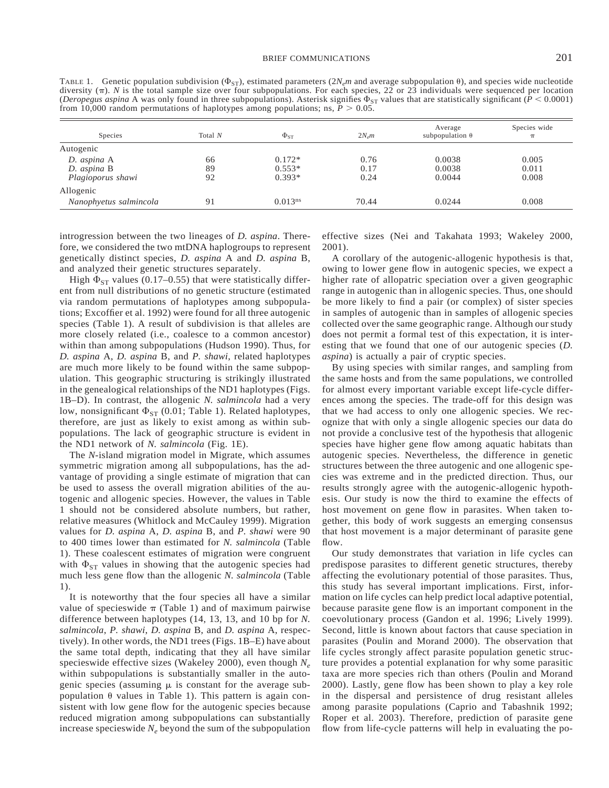TABLE 1. Genetic population subdivision ( $\Phi_{ST}$ ), estimated parameters ( $2N_{e}m$  and average subpopulation  $\theta$ ), and species wide nucleotide diversity  $(\pi)$ . *N* is the total sample size over four subpopulations. For each species, 22 or 23 individuals were sequenced per location (*Deropegus aspina* A was only found in three subpopulations). Asterisk signifies  $\Phi_{ST}$  values that are statistically significant (*P* < 0.0001) from 10,000 random permutations of haplotypes among populations; ns,  $P > 0.05$ .

| Species                | Total $N$ | $\Phi_{ST}$         | $2N_{\rm s}m$ | Average<br>subpopulation $\theta$ | Species wide<br>$\pi$ |
|------------------------|-----------|---------------------|---------------|-----------------------------------|-----------------------|
| Autogenic              |           |                     |               |                                   |                       |
| D. aspina A            | 66        | $0.172*$            | 0.76          | 0.0038                            | 0.005                 |
| D. aspina B            | 89        | $0.553*$            | 0.17          | 0.0038                            | 0.011                 |
| Plagioporus shawi      | 92        | $0.393*$            | 0.24          | 0.0044                            | 0.008                 |
| Allogenic              |           |                     |               |                                   |                       |
| Nanophyetus salmincola | 91        | 0.013 <sup>ns</sup> | 70.44         | 0.0244                            | 0.008                 |

introgression between the two lineages of *D. aspina*. Therefore, we considered the two mtDNA haplogroups to represent genetically distinct species, *D. aspina* A and *D. aspina* B, and analyzed their genetic structures separately.

High  $\Phi_{ST}$  values (0.17–0.55) that were statistically different from null distributions of no genetic structure (estimated via random permutations of haplotypes among subpopulations; Excoffier et al. 1992) were found for all three autogenic species (Table 1). A result of subdivision is that alleles are more closely related (i.e., coalesce to a common ancestor) within than among subpopulations (Hudson 1990). Thus, for *D. aspina* A, *D. aspina* B, and *P. shawi*, related haplotypes are much more likely to be found within the same subpopulation. This geographic structuring is strikingly illustrated in the genealogical relationships of the ND1 haplotypes (Figs. 1B–D). In contrast, the allogenic *N. salmincola* had a very low, nonsignificant  $\Phi_{ST}$  (0.01; Table 1). Related haplotypes, therefore, are just as likely to exist among as within subpopulations. The lack of geographic structure is evident in the ND1 network of *N. salmincola* (Fig. 1E).

The *N*-island migration model in Migrate, which assumes symmetric migration among all subpopulations, has the advantage of providing a single estimate of migration that can be used to assess the overall migration abilities of the autogenic and allogenic species. However, the values in Table 1 should not be considered absolute numbers, but rather, relative measures (Whitlock and McCauley 1999). Migration values for *D. aspina* A, *D. aspina* B, and *P. shawi* were 90 to 400 times lower than estimated for *N. salmincola* (Table 1). These coalescent estimates of migration were congruent with  $\Phi_{ST}$  values in showing that the autogenic species had much less gene flow than the allogenic *N. salmincola* (Table 1).

It is noteworthy that the four species all have a similar value of specieswide  $\pi$  (Table 1) and of maximum pairwise difference between haplotypes (14, 13, 13, and 10 bp for *N. salmincola*, *P. shawi*, *D. aspina* B, and *D. aspina* A, respectively). In other words, the ND1 trees (Figs. 1B–E) have about the same total depth, indicating that they all have similar specieswide effective sizes (Wakeley 2000), even though *Ne* within subpopulations is substantially smaller in the autogenic species (assuming  $\mu$  is constant for the average subpopulation  $\theta$  values in Table 1). This pattern is again consistent with low gene flow for the autogenic species because reduced migration among subpopulations can substantially increase specieswide  $N_e$  beyond the sum of the subpopulation

effective sizes (Nei and Takahata 1993; Wakeley 2000, 2001).

A corollary of the autogenic-allogenic hypothesis is that, owing to lower gene flow in autogenic species, we expect a higher rate of allopatric speciation over a given geographic range in autogenic than in allogenic species. Thus, one should be more likely to find a pair (or complex) of sister species in samples of autogenic than in samples of allogenic species collected over the same geographic range. Although our study does not permit a formal test of this expectation, it is interesting that we found that one of our autogenic species (*D. aspina*) is actually a pair of cryptic species.

By using species with similar ranges, and sampling from the same hosts and from the same populations, we controlled for almost every important variable except life-cycle differences among the species. The trade-off for this design was that we had access to only one allogenic species. We recognize that with only a single allogenic species our data do not provide a conclusive test of the hypothesis that allogenic species have higher gene flow among aquatic habitats than autogenic species. Nevertheless, the difference in genetic structures between the three autogenic and one allogenic species was extreme and in the predicted direction. Thus, our results strongly agree with the autogenic-allogenic hypothesis. Our study is now the third to examine the effects of host movement on gene flow in parasites. When taken together, this body of work suggests an emerging consensus that host movement is a major determinant of parasite gene flow.

Our study demonstrates that variation in life cycles can predispose parasites to different genetic structures, thereby affecting the evolutionary potential of those parasites. Thus, this study has several important implications. First, information on life cycles can help predict local adaptive potential, because parasite gene flow is an important component in the coevolutionary process (Gandon et al. 1996; Lively 1999). Second, little is known about factors that cause speciation in parasites (Poulin and Morand 2000). The observation that life cycles strongly affect parasite population genetic structure provides a potential explanation for why some parasitic taxa are more species rich than others (Poulin and Morand 2000). Lastly, gene flow has been shown to play a key role in the dispersal and persistence of drug resistant alleles among parasite populations (Caprio and Tabashnik 1992; Roper et al. 2003). Therefore, prediction of parasite gene flow from life-cycle patterns will help in evaluating the po